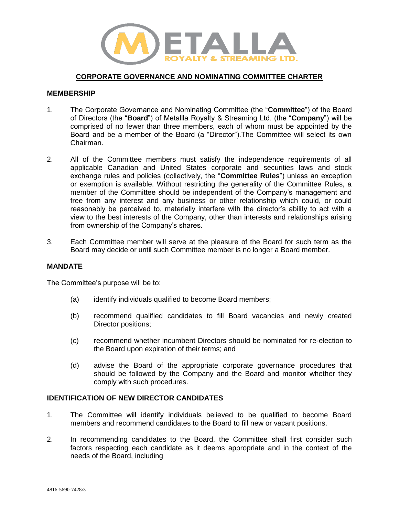

# **CORPORATE GOVERNANCE AND NOMINATING COMMITTEE CHARTER**

## **MEMBERSHIP**

- 1. The Corporate Governance and Nominating Committee (the "**Committee**") of the Board of Directors (the "**Board**") of Metallla Royalty & Streaming Ltd. (the "**Company**") will be comprised of no fewer than three members, each of whom must be appointed by the Board and be a member of the Board (a "Director").The Committee will select its own Chairman.
- 2. All of the Committee members must satisfy the independence requirements of all applicable Canadian and United States corporate and securities laws and stock exchange rules and policies (collectively, the "**Committee Rules**") unless an exception or exemption is available. Without restricting the generality of the Committee Rules, a member of the Committee should be independent of the Company's management and free from any interest and any business or other relationship which could, or could reasonably be perceived to, materially interfere with the director's ability to act with a view to the best interests of the Company, other than interests and relationships arising from ownership of the Company's shares.
- 3. Each Committee member will serve at the pleasure of the Board for such term as the Board may decide or until such Committee member is no longer a Board member.

## **MANDATE**

The Committee's purpose will be to:

- (a) identify individuals qualified to become Board members;
- (b) recommend qualified candidates to fill Board vacancies and newly created Director positions;
- (c) recommend whether incumbent Directors should be nominated for re-election to the Board upon expiration of their terms; and
- (d) advise the Board of the appropriate corporate governance procedures that should be followed by the Company and the Board and monitor whether they comply with such procedures.

## **IDENTIFICATION OF NEW DIRECTOR CANDIDATES**

- 1. The Committee will identify individuals believed to be qualified to become Board members and recommend candidates to the Board to fill new or vacant positions.
- 2. In recommending candidates to the Board, the Committee shall first consider such factors respecting each candidate as it deems appropriate and in the context of the needs of the Board, including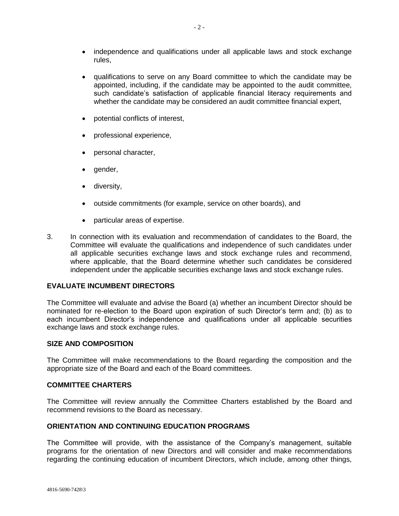- independence and qualifications under all applicable laws and stock exchange rules,
- qualifications to serve on any Board committee to which the candidate may be appointed, including, if the candidate may be appointed to the audit committee, such candidate's satisfaction of applicable financial literacy requirements and whether the candidate may be considered an audit committee financial expert,
- potential conflicts of interest,
- professional experience,
- personal character,
- gender,
- diversity,
- outside commitments (for example, service on other boards), and
- particular areas of expertise.
- 3. In connection with its evaluation and recommendation of candidates to the Board, the Committee will evaluate the qualifications and independence of such candidates under all applicable securities exchange laws and stock exchange rules and recommend, where applicable, that the Board determine whether such candidates be considered independent under the applicable securities exchange laws and stock exchange rules.

## **EVALUATE INCUMBENT DIRECTORS**

The Committee will evaluate and advise the Board (a) whether an incumbent Director should be nominated for re-election to the Board upon expiration of such Director's term and; (b) as to each incumbent Director's independence and qualifications under all applicable securities exchange laws and stock exchange rules.

# **SIZE AND COMPOSITION**

The Committee will make recommendations to the Board regarding the composition and the appropriate size of the Board and each of the Board committees.

## **COMMITTEE CHARTERS**

The Committee will review annually the Committee Charters established by the Board and recommend revisions to the Board as necessary.

## **ORIENTATION AND CONTINUING EDUCATION PROGRAMS**

The Committee will provide, with the assistance of the Company's management, suitable programs for the orientation of new Directors and will consider and make recommendations regarding the continuing education of incumbent Directors, which include, among other things,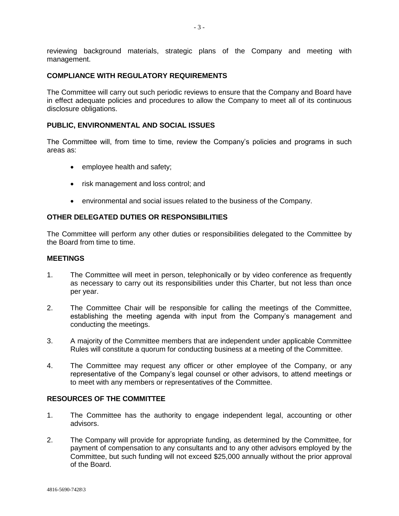reviewing background materials, strategic plans of the Company and meeting with management.

## **COMPLIANCE WITH REGULATORY REQUIREMENTS**

The Committee will carry out such periodic reviews to ensure that the Company and Board have in effect adequate policies and procedures to allow the Company to meet all of its continuous disclosure obligations.

### **PUBLIC, ENVIRONMENTAL AND SOCIAL ISSUES**

The Committee will, from time to time, review the Company's policies and programs in such areas as:

- employee health and safety;
- risk management and loss control; and
- environmental and social issues related to the business of the Company.

#### **OTHER DELEGATED DUTIES OR RESPONSIBILITIES**

The Committee will perform any other duties or responsibilities delegated to the Committee by the Board from time to time.

### **MEETINGS**

- 1. The Committee will meet in person, telephonically or by video conference as frequently as necessary to carry out its responsibilities under this Charter, but not less than once per year.
- 2. The Committee Chair will be responsible for calling the meetings of the Committee, establishing the meeting agenda with input from the Company's management and conducting the meetings.
- 3. A majority of the Committee members that are independent under applicable Committee Rules will constitute a quorum for conducting business at a meeting of the Committee.
- 4. The Committee may request any officer or other employee of the Company, or any representative of the Company's legal counsel or other advisors, to attend meetings or to meet with any members or representatives of the Committee.

## **RESOURCES OF THE COMMITTEE**

- 1. The Committee has the authority to engage independent legal, accounting or other advisors.
- 2. The Company will provide for appropriate funding, as determined by the Committee, for payment of compensation to any consultants and to any other advisors employed by the Committee, but such funding will not exceed \$25,000 annually without the prior approval of the Board.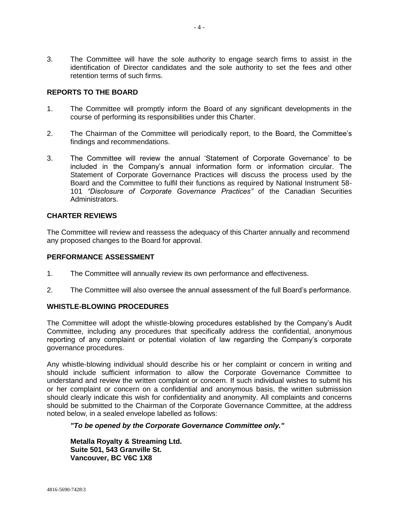3. The Committee will have the sole authority to engage search firms to assist in the identification of Director candidates and the sole authority to set the fees and other retention terms of such firms.

# **REPORTS TO THE BOARD**

- 1. The Committee will promptly inform the Board of any significant developments in the course of performing its responsibilities under this Charter.
- 2. The Chairman of the Committee will periodically report, to the Board, the Committee's findings and recommendations.
- 3. The Committee will review the annual 'Statement of Corporate Governance' to be included in the Company's annual information form or information circular. The Statement of Corporate Governance Practices will discuss the process used by the Board and the Committee to fulfil their functions as required by National Instrument 58- 101 *"Disclosure of Corporate Governance Practices"* of the Canadian Securities Administrators.

# **CHARTER REVIEWS**

The Committee will review and reassess the adequacy of this Charter annually and recommend any proposed changes to the Board for approval.

#### **PERFORMANCE ASSESSMENT**

- 1. The Committee will annually review its own performance and effectiveness.
- 2. The Committee will also oversee the annual assessment of the full Board's performance.

## **WHISTLE-BLOWING PROCEDURES**

The Committee will adopt the whistle-blowing procedures established by the Company's Audit Committee, including any procedures that specifically address the confidential, anonymous reporting of any complaint or potential violation of law regarding the Company's corporate governance procedures.

Any whistle-blowing individual should describe his or her complaint or concern in writing and should include sufficient information to allow the Corporate Governance Committee to understand and review the written complaint or concern. If such individual wishes to submit his or her complaint or concern on a confidential and anonymous basis, the written submission should clearly indicate this wish for confidentiality and anonymity. All complaints and concerns should be submitted to the Chairman of the Corporate Governance Committee, at the address noted below, in a sealed envelope labelled as follows:

## *"To be opened by the Corporate Governance Committee only."*

**Metalla Royalty & Streaming Ltd. Suite 501, 543 Granville St. Vancouver, BC V6C 1X8**